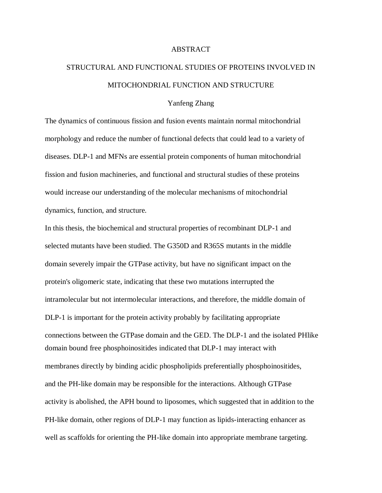## ABSTRACT

## STRUCTURAL AND FUNCTIONAL STUDIES OF PROTEINS INVOLVED IN MITOCHONDRIAL FUNCTION AND STRUCTURE

## Yanfeng Zhang

The dynamics of continuous fission and fusion events maintain normal mitochondrial morphology and reduce the number of functional defects that could lead to a variety of diseases. DLP-1 and MFNs are essential protein components of human mitochondrial fission and fusion machineries, and functional and structural studies of these proteins would increase our understanding of the molecular mechanisms of mitochondrial dynamics, function, and structure.

In this thesis, the biochemical and structural properties of recombinant DLP-1 and selected mutants have been studied. The G350D and R365S mutants in the middle domain severely impair the GTPase activity, but have no significant impact on the protein's oligomeric state, indicating that these two mutations interrupted the intramolecular but not intermolecular interactions, and therefore, the middle domain of DLP-1 is important for the protein activity probably by facilitating appropriate connections between the GTPase domain and the GED. The DLP-1 and the isolated PHlike domain bound free phosphoinositides indicated that DLP-1 may interact with membranes directly by binding acidic phospholipids preferentially phosphoinositides, and the PH-like domain may be responsible for the interactions. Although GTPase activity is abolished, the APH bound to liposomes, which suggested that in addition to the PH-like domain, other regions of DLP-1 may function as lipids-interacting enhancer as well as scaffolds for orienting the PH-like domain into appropriate membrane targeting.